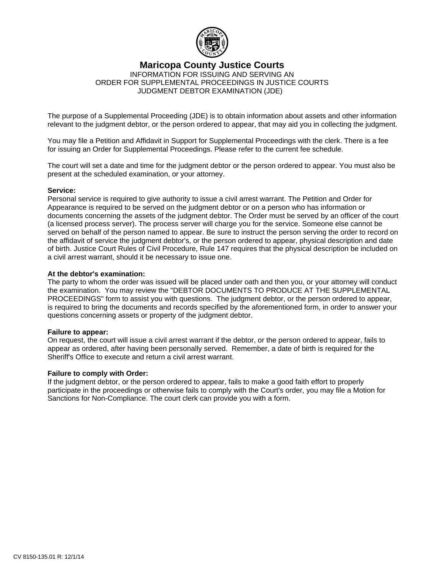

### **Maricopa County Justice Courts**

INFORMATION FOR ISSUING AND SERVING AN ORDER FOR SUPPLEMENTAL PROCEEDINGS IN JUSTICE COURTS JUDGMENT DEBTOR EXAMINATION (JDE)

The purpose of a Supplemental Proceeding (JDE) is to obtain information about assets and other information relevant to the judgment debtor, or the person ordered to appear, that may aid you in collecting the judgment.

You may file a Petition and Affidavit in Support for Supplemental Proceedings with the clerk. There is a fee for issuing an Order for Supplemental Proceedings. Please refer to the current fee schedule.

The court will set a date and time for the judgment debtor or the person ordered to appear. You must also be present at the scheduled examination, or your attorney.

#### **Service:**

Personal service is required to give authority to issue a civil arrest warrant. The Petition and Order for Appearance is required to be served on the judgment debtor or on a person who has information or documents concerning the assets of the judgment debtor. The Order must be served by an officer of the court (a licensed process server). The process server will charge you for the service. Someone else cannot be served on behalf of the person named to appear. Be sure to instruct the person serving the order to record on the affidavit of service the judgment debtor's, or the person ordered to appear, physical description and date of birth. Justice Court Rules of Civil Procedure, Rule 147 requires that the physical description be included on a civil arrest warrant, should it be necessary to issue one.

#### **At the debtor's examination:**

The party to whom the order was issued will be placed under oath and then you, or your attorney will conduct the examination. You may review the "DEBTOR DOCUMENTS TO PRODUCE AT THE SUPPLEMENTAL PROCEEDINGS" form to assist you with questions. The judgment debtor, or the person ordered to appear, is required to bring the documents and records specified by the aforementioned form, in order to answer your questions concerning assets or property of the judgment debtor.

#### **Failure to appear:**

On request, the court will issue a civil arrest warrant if the debtor, or the person ordered to appear, fails to appear as ordered, after having been personally served. Remember, a date of birth is required for the Sheriff's Office to execute and return a civil arrest warrant.

#### **Failure to comply with Order:**

If the judgment debtor, or the person ordered to appear, fails to make a good faith effort to properly participate in the proceedings or otherwise fails to comply with the Court's order, you may file a Motion for Sanctions for Non-Compliance. The court clerk can provide you with a form.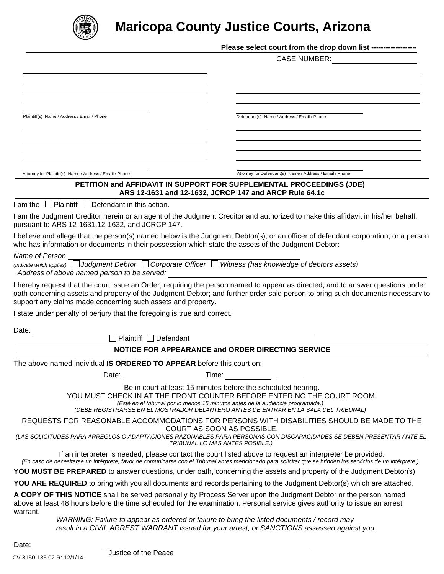

# **Maricopa County Justice Courts, Arizona**

|                                                                                                                                                                                                                                                           | Please select court from the drop down list ------------------                                                                                                                                                                                                                                                     |
|-----------------------------------------------------------------------------------------------------------------------------------------------------------------------------------------------------------------------------------------------------------|--------------------------------------------------------------------------------------------------------------------------------------------------------------------------------------------------------------------------------------------------------------------------------------------------------------------|
|                                                                                                                                                                                                                                                           | CASE NUMBER: _____________________                                                                                                                                                                                                                                                                                 |
|                                                                                                                                                                                                                                                           |                                                                                                                                                                                                                                                                                                                    |
|                                                                                                                                                                                                                                                           |                                                                                                                                                                                                                                                                                                                    |
|                                                                                                                                                                                                                                                           |                                                                                                                                                                                                                                                                                                                    |
|                                                                                                                                                                                                                                                           |                                                                                                                                                                                                                                                                                                                    |
| Plaintiff(s) Name / Address / Email / Phone                                                                                                                                                                                                               | Defendant(s) Name / Address / Email / Phone                                                                                                                                                                                                                                                                        |
|                                                                                                                                                                                                                                                           |                                                                                                                                                                                                                                                                                                                    |
|                                                                                                                                                                                                                                                           |                                                                                                                                                                                                                                                                                                                    |
| the control of the control of the control of the control of the control of the control of                                                                                                                                                                 |                                                                                                                                                                                                                                                                                                                    |
|                                                                                                                                                                                                                                                           |                                                                                                                                                                                                                                                                                                                    |
| Attorney for Plaintiff(s) Name / Address / Email / Phone                                                                                                                                                                                                  | Attorney for Defendant(s) Name / Address / Email / Phone<br>PETITION and AFFIDAVIT IN SUPPORT FOR SUPPLEMENTAL PROCEEDINGS (JDE)                                                                                                                                                                                   |
|                                                                                                                                                                                                                                                           | ARS 12-1631 and 12-1632, JCRCP 147 and ARCP Rule 64.1c                                                                                                                                                                                                                                                             |
| $I$ am the $\Box$ Plaintiff $\Box$ Defendant in this action.                                                                                                                                                                                              |                                                                                                                                                                                                                                                                                                                    |
| pursuant to ARS 12-1631, 12-1632, and JCRCP 147.                                                                                                                                                                                                          | I am the Judgment Creditor herein or an agent of the Judgment Creditor and authorized to make this affidavit in his/her behalf,                                                                                                                                                                                    |
| who has information or documents in their possession which state the assets of the Judgment Debtor:                                                                                                                                                       | I believe and allege that the person(s) named below is the Judgment Debtor(s); or an officer of defendant corporation; or a person                                                                                                                                                                                 |
| Name of Person                                                                                                                                                                                                                                            |                                                                                                                                                                                                                                                                                                                    |
| (Indicate which applies) $\Box$ Judgment Debtor $\Box$ Corporate Officer $\Box$ Witness (has knowledge of debtors assets)<br>Address of above named person to be served:                                                                                  |                                                                                                                                                                                                                                                                                                                    |
| support any claims made concerning such assets and property.                                                                                                                                                                                              | I hereby request that the court issue an Order, requiring the person named to appear as directed; and to answer questions under<br>oath concerning assets and property of the Judgment Debtor; and further order said person to bring such documents necessary to                                                  |
| I state under penalty of perjury that the foregoing is true and correct.                                                                                                                                                                                  |                                                                                                                                                                                                                                                                                                                    |
|                                                                                                                                                                                                                                                           |                                                                                                                                                                                                                                                                                                                    |
| Date:<br>Plaintiff □ Defendant                                                                                                                                                                                                                            |                                                                                                                                                                                                                                                                                                                    |
|                                                                                                                                                                                                                                                           | NOTICE FOR APPEARANCE and ORDER DIRECTING SERVICE                                                                                                                                                                                                                                                                  |
| The above named individual IS ORDERED TO APPEAR before this court on:                                                                                                                                                                                     |                                                                                                                                                                                                                                                                                                                    |
| Date: the contract of the contract of the contract of the contract of the contract of the contract of the contract of the contract of the contract of the contract of the contract of the contract of the contract of the cont                            | Time:                                                                                                                                                                                                                                                                                                              |
|                                                                                                                                                                                                                                                           |                                                                                                                                                                                                                                                                                                                    |
|                                                                                                                                                                                                                                                           | Be in court at least 15 minutes before the scheduled hearing.<br>YOU MUST CHECK IN AT THE FRONT COUNTER BEFORE ENTERING THE COURT ROOM.<br>(Esté en el tribunal por lo menos 15 minutos antes de la audiencia programada.)<br>(DEBE REGISTRARSE EN EL MOSTRADOR DELANTERO ANTES DE ENTRAR EN LA SALA DEL TRIBUNAL) |
|                                                                                                                                                                                                                                                           | REQUESTS FOR REASONABLE ACCOMMODATIONS FOR PERSONS WITH DISABILITIES SHOULD BE MADE TO THE                                                                                                                                                                                                                         |
|                                                                                                                                                                                                                                                           | COURT AS SOON AS POSSIBLE.                                                                                                                                                                                                                                                                                         |
|                                                                                                                                                                                                                                                           | (LAS SOLICITUDES PARA ARREGLOS O ADAPTACIONES RAZONABLES PARA PERSONAS CON DISCAPACIDADES SE DEBEN PRESENTAR ANTE EL<br>TRIBUNAL LO MAS ANTES POSIBLE.)                                                                                                                                                            |
|                                                                                                                                                                                                                                                           | If an interpreter is needed, please contact the court listed above to request an interpreter be provided.<br>(En caso de necesitarse un intérprete, favor de comunicarse con el Tribunal antes mencionado para solicitar que se brinden los servicios de un intérprete.)                                           |
|                                                                                                                                                                                                                                                           | YOU MUST BE PREPARED to answer questions, under oath, concerning the assets and property of the Judgment Debtor(s).                                                                                                                                                                                                |
|                                                                                                                                                                                                                                                           | YOU ARE REQUIRED to bring with you all documents and records pertaining to the Judgment Debtor(s) which are attached.                                                                                                                                                                                              |
| A COPY OF THIS NOTICE shall be served personally by Process Server upon the Judgment Debtor or the person named<br>above at least 48 hours before the time scheduled for the examination. Personal service gives authority to issue an arrest<br>warrant. |                                                                                                                                                                                                                                                                                                                    |
| WARNING: Failure to appear as ordered or failure to bring the listed documents / record may                                                                                                                                                               |                                                                                                                                                                                                                                                                                                                    |

Date: